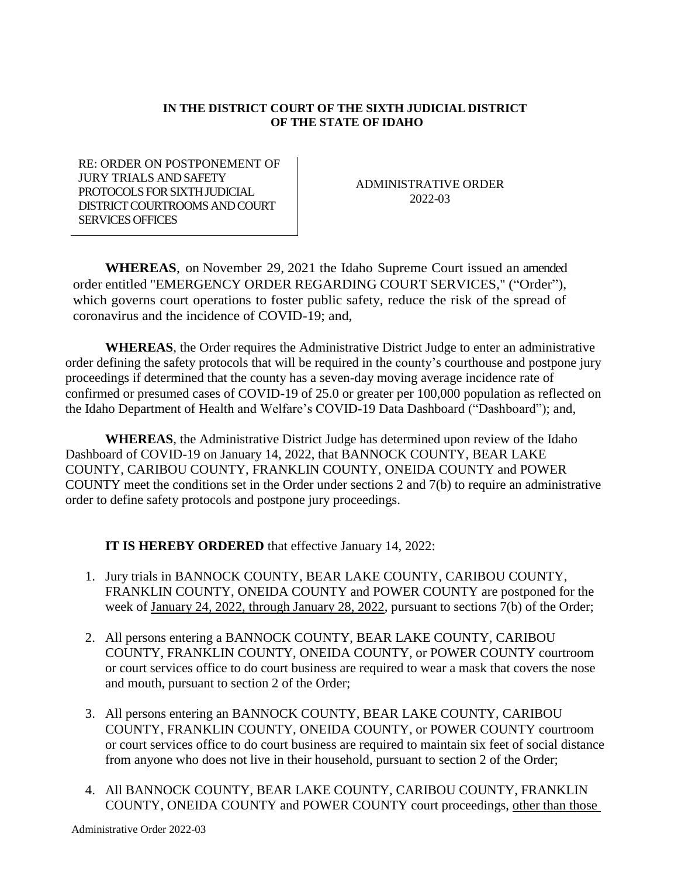## **IN THE DISTRICT COURT OF THE SIXTH JUDICIAL DISTRICT OF THE STATE OF IDAHO**

RE: ORDER ON POSTPONEMENT OF JURY TRIALS AND SAFETY PROTOCOLS FOR SIXTH JUDICIAL DISTRICT COURTROOMS AND COURT SERVICES OFFICES

ADMINISTRATIVE ORDER 2022-03

**WHEREAS**, on November 29, 2021 the Idaho Supreme Court issued an amended order entitled "EMERGENCY ORDER REGARDING COURT SERVICES," ("Order"), which governs court operations to foster public safety, reduce the risk of the spread of coronavirus and the incidence of COVID-19; and,

**WHEREAS**, the Order requires the Administrative District Judge to enter an administrative order defining the safety protocols that will be required in the county's courthouse and postpone jury proceedings if determined that the county has a seven-day moving average incidence rate of confirmed or presumed cases of COVID-19 of 25.0 or greater per 100,000 population as reflected on the Idaho Department of Health and Welfare's COVID-19 Data Dashboard ("Dashboard"); and,

**WHEREAS**, the Administrative District Judge has determined upon review of the Idaho Dashboard of COVID-19 on January 14, 2022, that BANNOCK COUNTY, BEAR LAKE COUNTY, CARIBOU COUNTY, FRANKLIN COUNTY, ONEIDA COUNTY and POWER COUNTY meet the conditions set in the Order under sections 2 and 7(b) to require an administrative order to define safety protocols and postpone jury proceedings.

**IT IS HEREBY ORDERED** that effective January 14, 2022:

- 1. Jury trials in BANNOCK COUNTY, BEAR LAKE COUNTY, CARIBOU COUNTY, FRANKLIN COUNTY, ONEIDA COUNTY and POWER COUNTY are postponed for the week of January 24, 2022, through January 28, 2022, pursuant to sections 7(b) of the Order;
- 2. All persons entering a BANNOCK COUNTY, BEAR LAKE COUNTY, CARIBOU COUNTY, FRANKLIN COUNTY, ONEIDA COUNTY, or POWER COUNTY courtroom or court services office to do court business are required to wear a mask that covers the nose and mouth, pursuant to section 2 of the Order;
- 3. All persons entering an BANNOCK COUNTY, BEAR LAKE COUNTY, CARIBOU COUNTY, FRANKLIN COUNTY, ONEIDA COUNTY, or POWER COUNTY courtroom or court services office to do court business are required to maintain six feet of social distance from anyone who does not live in their household, pursuant to section 2 of the Order;
- 4. All BANNOCK COUNTY, BEAR LAKE COUNTY, CARIBOU COUNTY, FRANKLIN COUNTY, ONEIDA COUNTY and POWER COUNTY court proceedings, other than those